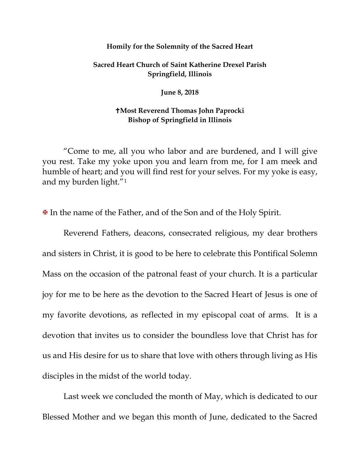## **Homily for the Solemnity of the Sacred Heart**

## **Sacred Heart Church of Saint Katherine Drexel Parish Springfield, Illinois**

**June 8, 2018**

## **Most Reverend Thomas John Paprocki Bishop of Springfield in Illinois**

"Come to me, all you who labor and are burdened, and I will give you rest. Take my yoke upon you and learn from me, for I am meek and humble of heart; and you will find rest for your selves. For my yoke is easy, and my burden light."[1](#page-5-0)

In the name of the Father, and of the Son and of the Holy Spirit.

Reverend Fathers, deacons, consecrated religious, my dear brothers and sisters in Christ, it is good to be here to celebrate this Pontifical Solemn Mass on the occasion of the patronal feast of your church. It is a particular joy for me to be here as the devotion to the Sacred Heart of Jesus is one of my favorite devotions, as reflected in my episcopal coat of arms. It is a devotion that invites us to consider the boundless love that Christ has for us and His desire for us to share that love with others through living as His disciples in the midst of the world today.

Last week we concluded the month of May, which is dedicated to our Blessed Mother and we began this month of June, dedicated to the Sacred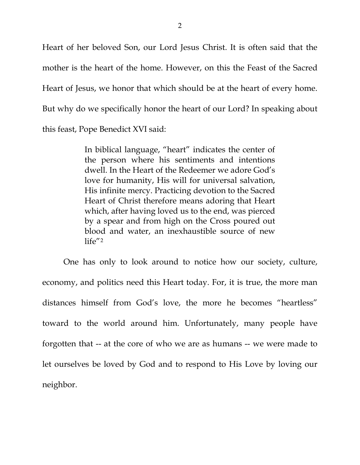Heart of her beloved Son, our Lord Jesus Christ. It is often said that the mother is the heart of the home. However, on this the Feast of the Sacred Heart of Jesus, we honor that which should be at the heart of every home. But why do we specifically honor the heart of our Lord? In speaking about this feast, Pope Benedict XVI said:

> In biblical language, "heart" indicates the center of the person where his sentiments and intentions dwell. In the Heart of the Redeemer we adore God's love for humanity, His will for universal salvation, His infinite mercy. Practicing devotion to the Sacred Heart of Christ therefore means adoring that Heart which, after having loved us to the end, was pierced by a spear and from high on the Cross poured out blood and water, an inexhaustible source of new life"[2](#page-5-1)

One has only to look around to notice how our society, culture, economy, and politics need this Heart today. For, it is true, the more man distances himself from God's love, the more he becomes "heartless" toward to the world around him. Unfortunately, many people have forgotten that -- at the core of who we are as humans -- we were made to let ourselves be loved by God and to respond to His Love by loving our neighbor.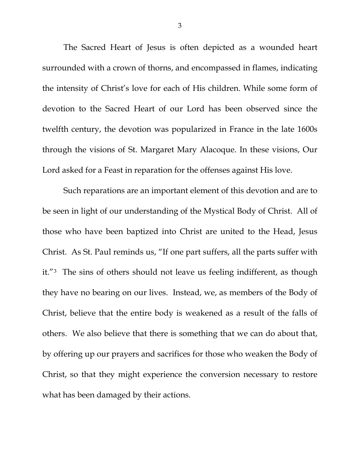The Sacred Heart of Jesus is often depicted as a wounded heart surrounded with a crown of thorns, and encompassed in flames, indicating the intensity of Christ's love for each of His children. While some form of devotion to the Sacred Heart of our Lord has been observed since the twelfth century, the devotion was popularized in France in the late 1600s through the visions of St. Margaret Mary Alacoque. In these visions, Our Lord asked for a Feast in reparation for the offenses against His love.

Such reparations are an important element of this devotion and are to be seen in light of our understanding of the Mystical Body of Christ. All of those who have been baptized into Christ are united to the Head, Jesus Christ. As St. Paul reminds us, "If one part suffers, all the parts suffer with it."[3](#page-5-2) The sins of others should not leave us feeling indifferent, as though they have no bearing on our lives. Instead, we, as members of the Body of Christ, believe that the entire body is weakened as a result of the falls of others. We also believe that there is something that we can do about that, by offering up our prayers and sacrifices for those who weaken the Body of Christ, so that they might experience the conversion necessary to restore what has been damaged by their actions.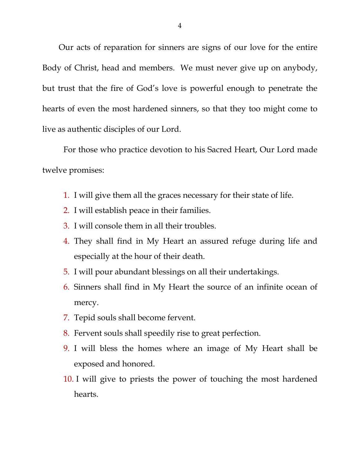Our acts of reparation for sinners are signs of our love for the entire Body of Christ, head and members. We must never give up on anybody, but trust that the fire of God's love is powerful enough to penetrate the hearts of even the most hardened sinners, so that they too might come to live as authentic disciples of our Lord.

For those who practice devotion to his Sacred Heart, Our Lord made twelve promises:

- 1. I will give them all the graces necessary for their state of life.
- 2. I will establish peace in their families.
- 3. I will console them in all their troubles.
- 4. They shall find in My Heart an assured refuge during life and especially at the hour of their death.
- 5. I will pour abundant blessings on all their undertakings.
- 6. Sinners shall find in My Heart the source of an infinite ocean of mercy.
- 7. Tepid souls shall become fervent.
- 8. Fervent souls shall speedily rise to great perfection.
- 9. I will bless the homes where an image of My Heart shall be exposed and honored.
- 10. I will give to priests the power of touching the most hardened hearts.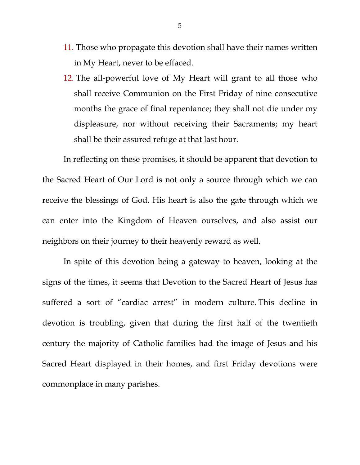- 11. Those who propagate this devotion shall have their names written in My Heart, never to be effaced.
- 12. The all-powerful love of My Heart will grant to all those who shall receive Communion on the First Friday of nine consecutive months the grace of final repentance; they shall not die under my displeasure, nor without receiving their Sacraments; my heart shall be their assured refuge at that last hour.

In reflecting on these promises, it should be apparent that devotion to the Sacred Heart of Our Lord is not only a source through which we can receive the blessings of God. His heart is also the gate through which we can enter into the Kingdom of Heaven ourselves, and also assist our neighbors on their journey to their heavenly reward as well.

In spite of this devotion being a gateway to heaven, looking at the signs of the times, it seems that Devotion to the Sacred Heart of Jesus has suffered a sort of "cardiac arrest" in modern culture. This decline in devotion is troubling, given that during the first half of the twentieth century the majority of Catholic families had the image of Jesus and his Sacred Heart displayed in their homes, and first Friday devotions were commonplace in many parishes.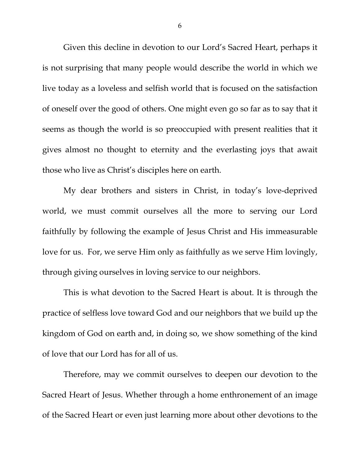Given this decline in devotion to our Lord's Sacred Heart, perhaps it is not surprising that many people would describe the world in which we live today as a loveless and selfish world that is focused on the satisfaction of oneself over the good of others. One might even go so far as to say that it seems as though the world is so preoccupied with present realities that it gives almost no thought to eternity and the everlasting joys that await those who live as Christ's disciples here on earth.

<span id="page-5-0"></span>My dear brothers and sisters in Christ, in today's love-deprived world, we must commit ourselves all the more to serving our Lord faithfully by following the example of Jesus Christ and His immeasurable love for us. For, we serve Him only as faithfully as we serve Him lovingly, through giving ourselves in loving service to our neighbors.

<span id="page-5-2"></span><span id="page-5-1"></span>This is what devotion to the Sacred Heart is about. It is through the practice of selfless love toward God and our neighbors that we build up the kingdom of God on earth and, in doing so, we show something of the kind of love that our Lord has for all of us.

Therefore, may we commit ourselves to deepen our devotion to the Sacred Heart of Jesus. Whether through a home enthronement of an image of the Sacred Heart or even just learning more about other devotions to the

6